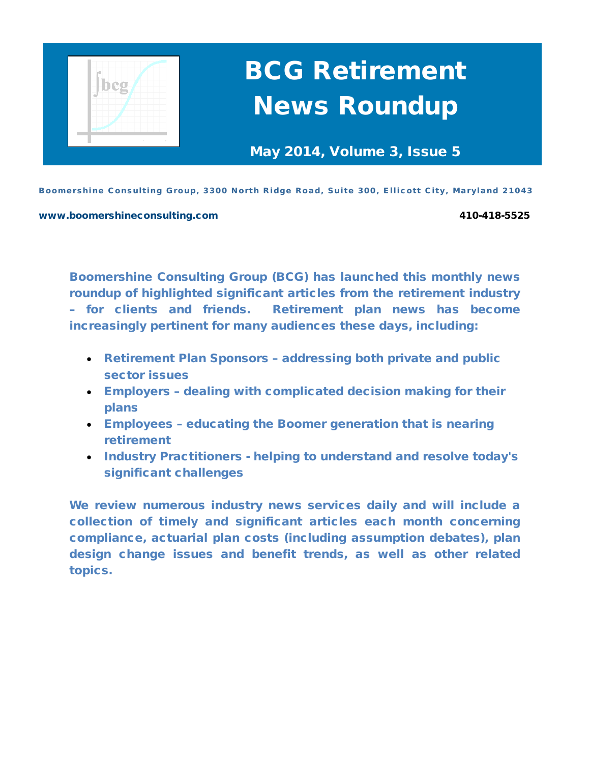

# BCG Retirement News Roundup

May 2014, Volume 3, Issue 5

Boomershine Consulting Group, 3300 North Ridge Road, Suite 300, Ellicott City, Maryland 21043

[www.boomershineconsulting.com](http://www.boomershineconsulting.com/) 410-418-5525

Boomershine Consulting Group (BCG) has launched this monthly news roundup of highlighted significant articles from the retirement industry – for clients and friends. Retirement plan news has become increasingly pertinent for many audiences these days, including:

- Retirement Plan Sponsors addressing both private and public sector issues
- Employers dealing with complicated decision making for their plans
- Employees educating the Boomer generation that is nearing retirement
- Industry Practitioners helping to understand and resolve today's significant challenges

We review numerous industry news services daily and will include a collection of timely and significant articles each month concerning compliance, actuarial plan costs (including assumption debates), plan design change issues and benefit trends, as well as other related topics.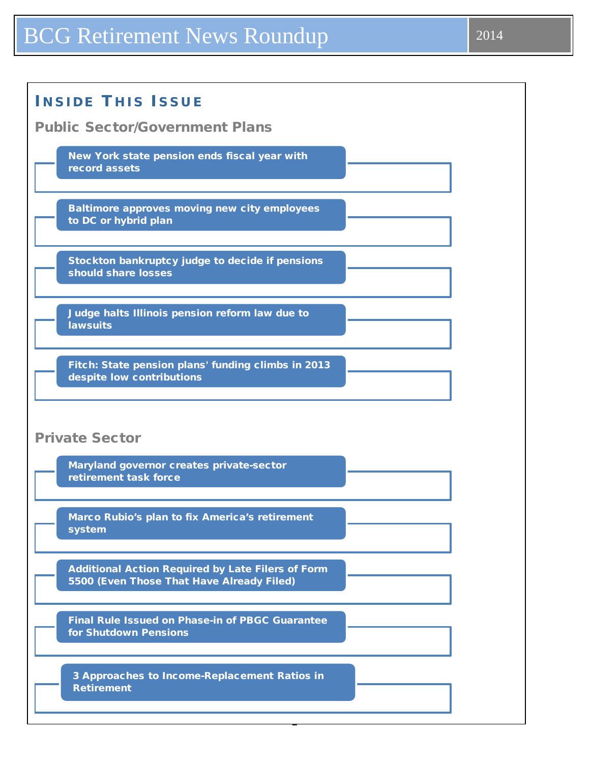# BCG Retirement News Roundup 2014

| <b>INSIDE THIS ISSUE</b>                                                                              |  |
|-------------------------------------------------------------------------------------------------------|--|
| <b>Public Sector/Government Plans</b>                                                                 |  |
| New York state pension ends fiscal year with<br>record assets                                         |  |
| <b>Baltimore approves moving new city employees</b><br>to DC or hybrid plan                           |  |
| Stockton bankruptcy judge to decide if pensions<br>should share losses                                |  |
| Judge halts Illinois pension reform law due to<br><b>lawsuits</b>                                     |  |
| Fitch: State pension plans' funding climbs in 2013<br>despite low contributions                       |  |
|                                                                                                       |  |
| <b>Private Sector</b>                                                                                 |  |
| Maryland governor creates private-sector<br>retirement task force                                     |  |
| Marco Rubio's plan to fix America's retirement<br>system                                              |  |
| <b>Additional Action Required by Late Filers of Form</b><br>5500 (Even Those That Have Already Filed) |  |
| <b>Final Rule Issued on Phase-in of PBGC Guarantee</b><br>for Shutdown Pensions                       |  |
| 3 Approaches to Income-Replacement Ratios in<br><b>Retirement</b>                                     |  |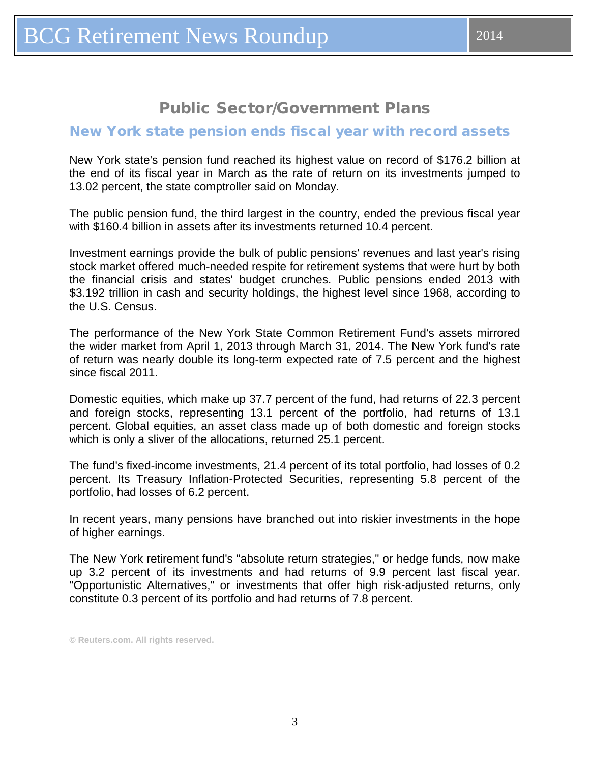# Public Sector/Government Plans

### <span id="page-2-0"></span>New York state pension ends fiscal year with record assets

New York state's pension fund reached its highest value on record of \$176.2 billion at the end of its fiscal year in March as the rate of return on its investments jumped to 13.02 percent, the state comptroller said on Monday.

The public pension fund, the third largest in the country, ended the previous fiscal year with \$160.4 billion in assets after its investments returned 10.4 percent.

Investment earnings provide the bulk of public pensions' revenues and last year's rising stock market offered much-needed respite for retirement systems that were hurt by both the financial crisis and states' budget crunches. Public pensions ended 2013 with \$3.192 trillion in cash and security holdings, the highest level since 1968, according to the U.S. Census.

The performance of the New York State Common Retirement Fund's assets mirrored the wider market from April 1, 2013 through March 31, 2014. The New York fund's rate of return was nearly double its long-term expected rate of 7.5 percent and the highest since fiscal 2011.

Domestic equities, which make up 37.7 percent of the fund, had returns of 22.3 percent and foreign stocks, representing 13.1 percent of the portfolio, had returns of 13.1 percent. Global equities, an asset class made up of both domestic and foreign stocks which is only a sliver of the allocations, returned 25.1 percent.

The fund's fixed-income investments, 21.4 percent of its total portfolio, had losses of 0.2 percent. Its Treasury Inflation-Protected Securities, representing 5.8 percent of the portfolio, had losses of 6.2 percent.

In recent years, many pensions have branched out into riskier investments in the hope of higher earnings.

The New York retirement fund's "absolute return strategies," or hedge funds, now make up 3.2 percent of its investments and had returns of 9.9 percent last fiscal year. "Opportunistic Alternatives," or investments that offer high risk-adjusted returns, only constitute 0.3 percent of its portfolio and had returns of 7.8 percent.

**<sup>©</sup> Reuters.com. All rights reserved.**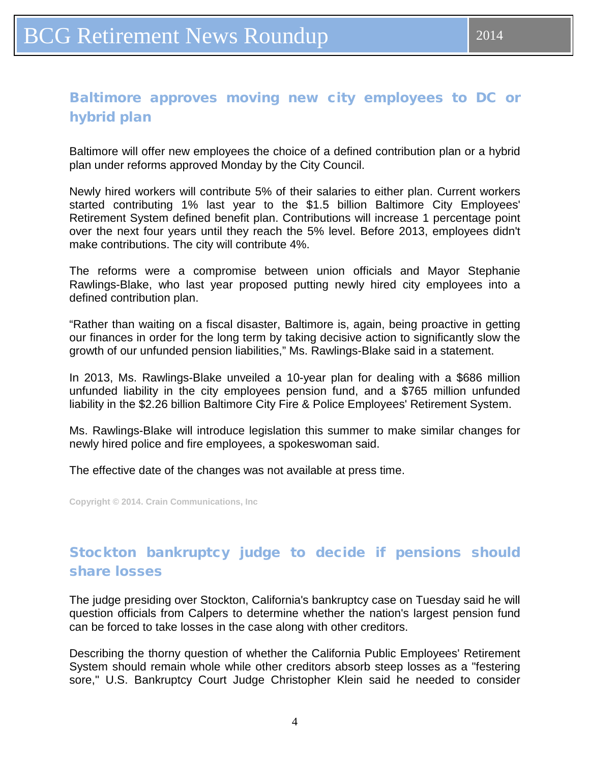## <span id="page-3-0"></span>Baltimore approves moving new city employees to DC or hybrid plan

Baltimore will offer new employees the choice of a defined contribution plan or a hybrid plan under reforms approved Monday by the City Council.

Newly hired workers will contribute 5% of their salaries to either plan. Current workers started contributing 1% last year to the \$1.5 billion Baltimore City Employees' Retirement System defined benefit plan. Contributions will increase 1 percentage point over the next four years until they reach the 5% level. Before 2013, employees didn't make contributions. The city will contribute 4%.

The reforms were a compromise between union officials and Mayor Stephanie Rawlings-Blake, who last year proposed putting newly hired city employees into a defined contribution plan.

"Rather than waiting on a fiscal disaster, Baltimore is, again, being proactive in getting our finances in order for the long term by taking decisive action to significantly slow the growth of our unfunded pension liabilities," Ms. Rawlings-Blake said in a statement.

In 2013, Ms. Rawlings-Blake unveiled a 10-year plan for dealing with a \$686 million unfunded liability in the city employees pension fund, and a \$765 million unfunded liability in the \$2.26 billion Baltimore City Fire & Police Employees' Retirement System.

Ms. Rawlings-Blake will introduce legislation this summer to make similar changes for newly hired police and fire employees, a spokeswoman said.

The effective date of the changes was not available at press time.

**Copyright © 2014. Crain Communications, Inc**

## Stockton bankruptcy judge to decide if pensions should share losses

The judge presiding over Stockton, California's bankruptcy case on Tuesday said he will question officials from Calpers to determine whether the nation's largest pension fund can be forced to take losses in the case along with other creditors.

Describing the thorny question of whether the California Public Employees' Retirement System should remain whole while other creditors absorb steep losses as a "festering sore," U.S. Bankruptcy Court Judge Christopher Klein said he needed to consider

4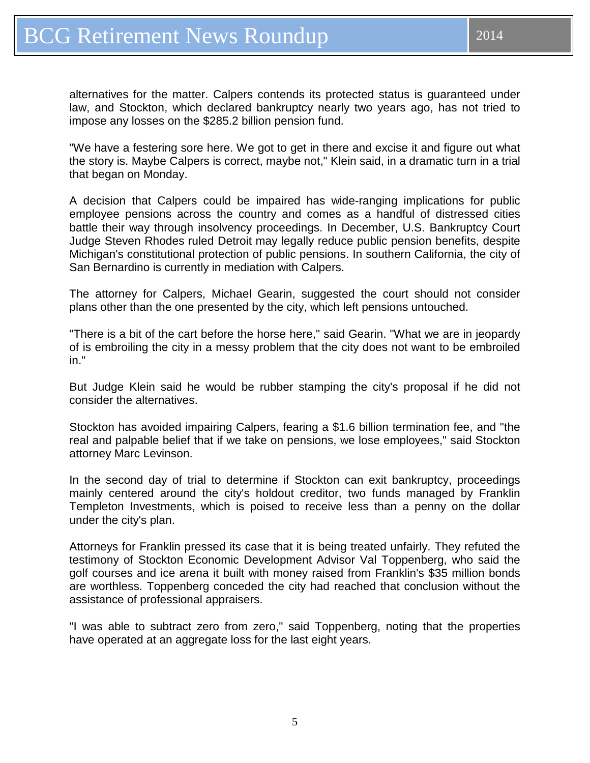alternatives for the matter. Calpers contends its protected status is guaranteed under law, and Stockton, which declared bankruptcy nearly two years ago, has not tried to impose any losses on the \$285.2 billion pension fund.

"We have a festering sore here. We got to get in there and excise it and figure out what the story is. Maybe Calpers is correct, maybe not," Klein said, in a dramatic turn in a trial that began on Monday.

A decision that Calpers could be impaired has wide-ranging implications for public employee pensions across the country and comes as a handful of distressed cities battle their way through insolvency proceedings. In December, U.S. Bankruptcy Court Judge Steven Rhodes ruled Detroit may legally reduce public pension benefits, despite Michigan's constitutional protection of public pensions. In southern California, the city of San Bernardino is currently in mediation with Calpers.

The attorney for Calpers, Michael Gearin, suggested the court should not consider plans other than the one presented by the city, which left pensions untouched.

"There is a bit of the cart before the horse here," said Gearin. "What we are in jeopardy of is embroiling the city in a messy problem that the city does not want to be embroiled in."

But Judge Klein said he would be rubber stamping the city's proposal if he did not consider the alternatives.

Stockton has avoided impairing Calpers, fearing a \$1.6 billion termination fee, and "the real and palpable belief that if we take on pensions, we lose employees," said Stockton attorney Marc Levinson.

In the second day of trial to determine if Stockton can exit bankruptcy, proceedings mainly centered around the city's holdout creditor, two funds managed by Franklin Templeton Investments, which is poised to receive less than a penny on the dollar under the city's plan.

Attorneys for Franklin pressed its case that it is being treated unfairly. They refuted the testimony of Stockton Economic Development Advisor Val Toppenberg, who said the golf courses and ice arena it built with money raised from Franklin's \$35 million bonds are worthless. Toppenberg conceded the city had reached that conclusion without the assistance of professional appraisers.

"I was able to subtract zero from zero," said Toppenberg, noting that the properties have operated at an aggregate loss for the last eight years.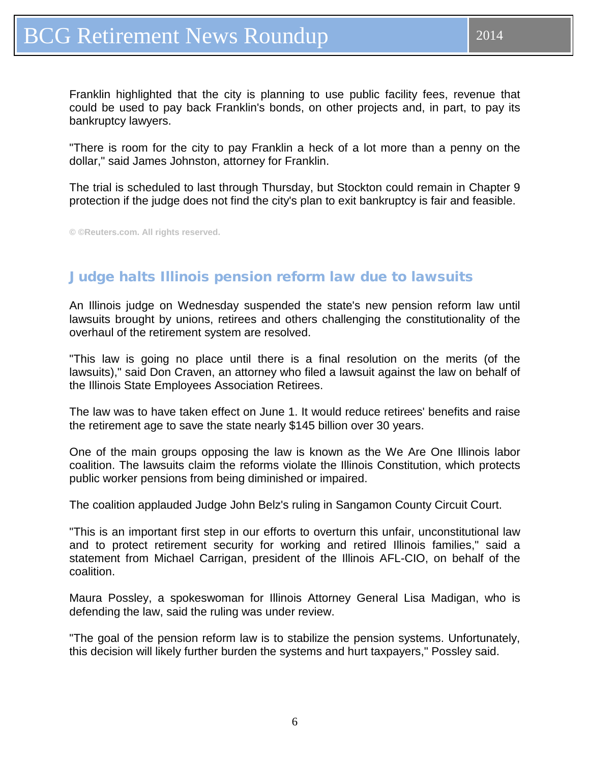<span id="page-5-0"></span>Franklin highlighted that the city is planning to use public facility fees, revenue that could be used to pay back Franklin's bonds, on other projects and, in part, to pay its bankruptcy lawyers.

"There is room for the city to pay Franklin a heck of a lot more than a penny on the dollar," said James Johnston, attorney for Franklin.

The trial is scheduled to last through Thursday, but Stockton could remain in Chapter 9 protection if the judge does not find the city's plan to exit bankruptcy is fair and feasible.

**© ©Reuters.com. All rights reserved.**

## Judge halts Illinois pension reform law due to lawsuits

An Illinois judge on Wednesday suspended the state's new pension reform law until lawsuits brought by unions, retirees and others challenging the constitutionality of the overhaul of the retirement system are resolved.

"This law is going no place until there is a final resolution on the merits (of the lawsuits)," said Don Craven, an attorney who filed a lawsuit against the law on behalf of the Illinois State Employees Association Retirees.

The law was to have taken effect on June 1. It would reduce retirees' benefits and raise the retirement age to save the state nearly \$145 billion over 30 years.

One of the main groups opposing the law is known as the We Are One Illinois labor coalition. The lawsuits claim the reforms violate the Illinois Constitution, which protects public worker pensions from being diminished or impaired.

The coalition applauded Judge John Belz's ruling in Sangamon County Circuit Court.

"This is an important first step in our efforts to overturn this unfair, unconstitutional law and to protect retirement security for working and retired Illinois families," said a statement from Michael Carrigan, president of the Illinois AFL-CIO, on behalf of the coalition.

Maura Possley, a spokeswoman for Illinois Attorney General Lisa Madigan, who is defending the law, said the ruling was under review.

"The goal of the pension reform law is to stabilize the pension systems. Unfortunately, this decision will likely further burden the systems and hurt taxpayers," Possley said.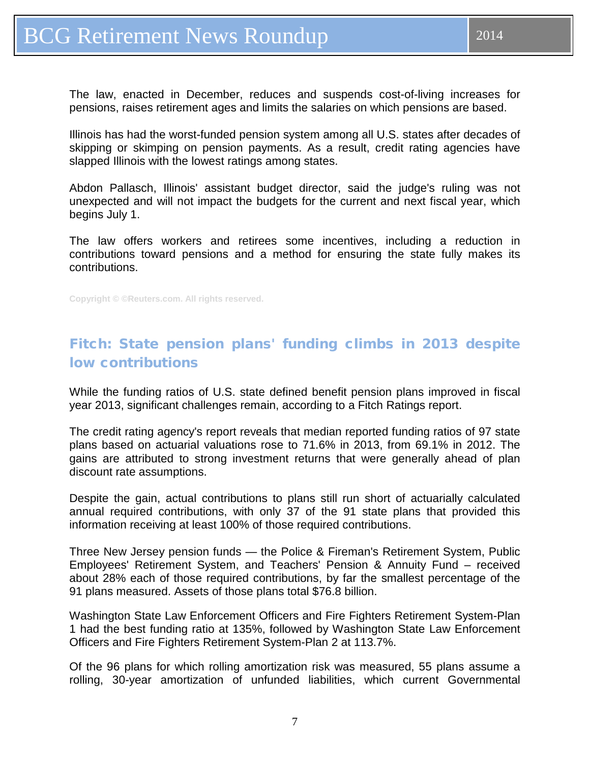<span id="page-6-0"></span>The law, enacted in December, reduces and suspends cost-of-living increases for pensions, raises retirement ages and limits the salaries on which pensions are based.

Illinois has had the worst-funded pension system among all U.S. states after decades of skipping or skimping on pension payments. As a result, credit rating agencies have slapped Illinois with the lowest ratings among states.

Abdon Pallasch, Illinois' assistant budget director, said the judge's ruling was not unexpected and will not impact the budgets for the current and next fiscal year, which begins July 1.

The law offers workers and retirees some incentives, including a reduction in contributions toward pensions and a method for ensuring the state fully makes its contributions.

**Copyright © ©Reuters.com. All rights reserved.**

## Fitch: State pension plans' funding climbs in 2013 despite low contributions

While the funding ratios of U.S. state defined benefit pension plans improved in fiscal year 2013, significant challenges remain, according to a Fitch Ratings report.

The credit rating agency's report reveals that median reported funding ratios of 97 state plans based on actuarial valuations rose to 71.6% in 2013, from 69.1% in 2012. The gains are attributed to strong investment returns that were generally ahead of plan discount rate assumptions.

Despite the gain, actual contributions to plans still run short of actuarially calculated annual required contributions, with only 37 of the 91 state plans that provided this information receiving at least 100% of those required contributions.

Three New Jersey pension funds — the Police & Fireman's Retirement System, Public Employees' Retirement System, and Teachers' Pension & Annuity Fund – received about 28% each of those required contributions, by far the smallest percentage of the 91 plans measured. Assets of those plans total \$76.8 billion.

Washington State Law Enforcement Officers and Fire Fighters Retirement System-Plan 1 had the best funding ratio at 135%, followed by Washington State Law Enforcement Officers and Fire Fighters Retirement System-Plan 2 at 113.7%.

Of the 96 plans for which rolling amortization risk was measured, 55 plans assume a rolling, 30-year amortization of unfunded liabilities, which current Governmental

7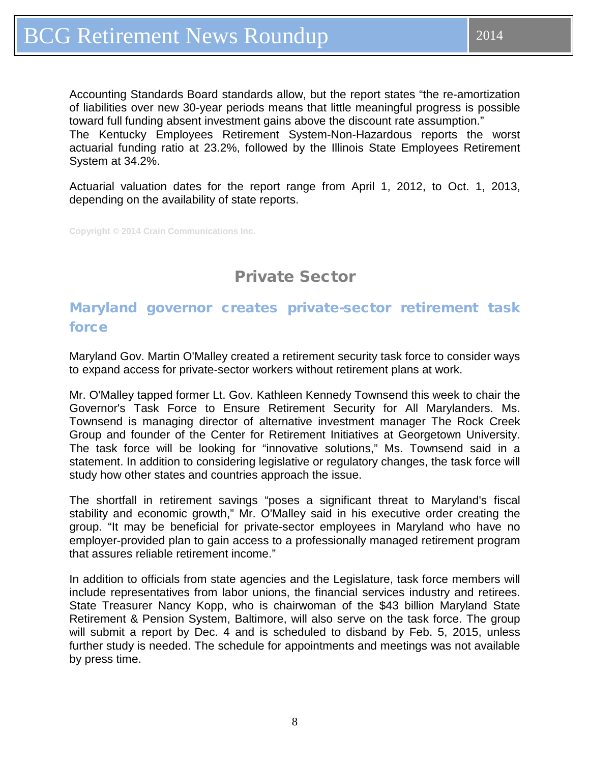<span id="page-7-0"></span>Accounting Standards Board standards allow, but the report states "the re-amortization of liabilities over new 30-year periods means that little meaningful progress is possible toward full funding absent investment gains above the discount rate assumption."

The Kentucky Employees Retirement System-Non-Hazardous reports the worst actuarial funding ratio at 23.2%, followed by the Illinois State Employees Retirement System at 34.2%.

Actuarial valuation dates for the report range from April 1, 2012, to Oct. 1, 2013, depending on the availability of state reports.

**Copyright © 2014 Crain Communications Inc.**

# Private Sector

## Maryland governor creates private-sector retirement task force

Maryland Gov. Martin O'Malley created a retirement security task force to consider ways to expand access for private-sector workers without retirement plans at work.

Mr. O'Malley tapped former Lt. Gov. Kathleen Kennedy Townsend this week to chair the Governor's Task Force to Ensure Retirement Security for All Marylanders. Ms. Townsend is managing director of alternative investment manager The Rock Creek Group and founder of the Center for Retirement Initiatives at Georgetown University. The task force will be looking for "innovative solutions," Ms. Townsend said in a statement. In addition to considering legislative or regulatory changes, the task force will study how other states and countries approach the issue.

The shortfall in retirement savings "poses a significant threat to Maryland's fiscal stability and economic growth," Mr. O'Malley said in his executive order creating the group. "It may be beneficial for private-sector employees in Maryland who have no employer-provided plan to gain access to a professionally managed retirement program that assures reliable retirement income."

In addition to officials from state agencies and the Legislature, task force members will include representatives from labor unions, the financial services industry and retirees. State Treasurer Nancy Kopp, who is chairwoman of the \$43 billion Maryland State Retirement & Pension System, Baltimore, will also serve on the task force. The group will submit a report by Dec. 4 and is scheduled to disband by Feb. 5, 2015, unless further study is needed. The schedule for appointments and meetings was not available by press time.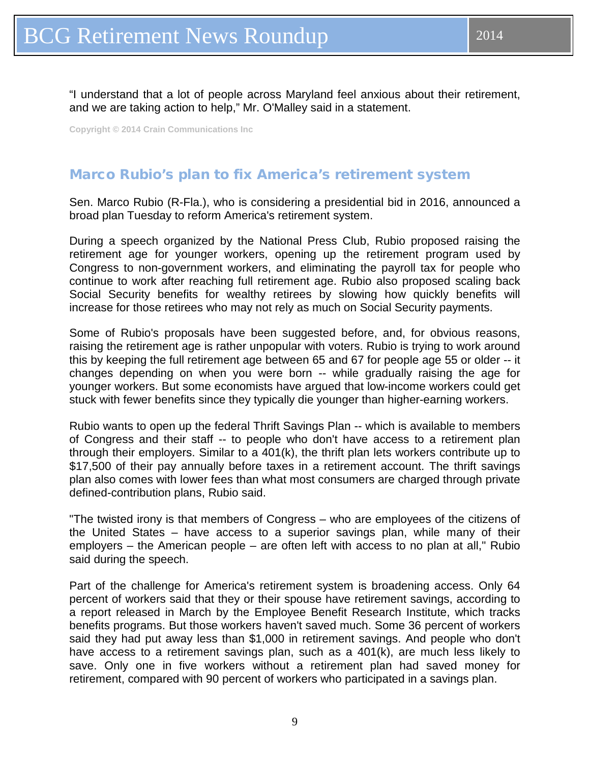<span id="page-8-0"></span>"I understand that a lot of people across Maryland feel anxious about their retirement, and we are taking action to help," Mr. O'Malley said in a statement.

**Copyright © 2014 Crain Communications Inc**

## Marco Rubio's plan to fix America's retirement system

Sen. Marco Rubio (R-Fla.), who is considering a presidential bid in 2016, announced a broad plan Tuesday to reform America's retirement system.

During a speech organized by the National Press Club, Rubio proposed raising the retirement age for younger workers, opening up the retirement program used by Congress to non-government workers, and eliminating the payroll tax for people who continue to work after reaching full retirement age. Rubio also proposed scaling back Social Security benefits for wealthy retirees by slowing how quickly benefits will increase for those retirees who may not rely as much on Social Security payments.

Some of Rubio's proposals have been suggested before, and, for obvious reasons, raising the retirement age is rather unpopular with voters. Rubio is trying to work around this by keeping the full retirement age between 65 and 67 for people age 55 or older -- it changes depending on when you were born -- while gradually raising the age for younger workers. But some economists have argued that low-income workers could get stuck with fewer benefits since they typically die younger than higher-earning workers.

Rubio wants to open up the federal Thrift Savings Plan -- which is available to members of Congress and their staff -- to people who don't have access to a retirement plan through their employers. Similar to a 401(k), the thrift plan lets workers contribute up to \$17,500 of their pay annually before taxes in a retirement account. The thrift savings plan also comes with lower fees than what most consumers are charged through private defined-contribution plans, Rubio said.

"The twisted irony is that members of Congress – who are employees of the citizens of the United States – have access to a superior savings plan, while many of their employers – the American people – are often left with access to no plan at all," Rubio said during the speech.

Part of the challenge for America's retirement system is broadening access. Only 64 percent of workers said that they or their spouse have retirement savings, according to a report released in March by the Employee Benefit Research Institute, which tracks benefits programs. But those workers haven't saved much. Some 36 percent of workers said they had put away less than \$1,000 in retirement savings. And people who don't have access to a retirement savings plan, such as a 401(k), are much less likely to save. Only one in five workers without a retirement plan had saved money for retirement, compared with 90 percent of workers who participated in a savings plan.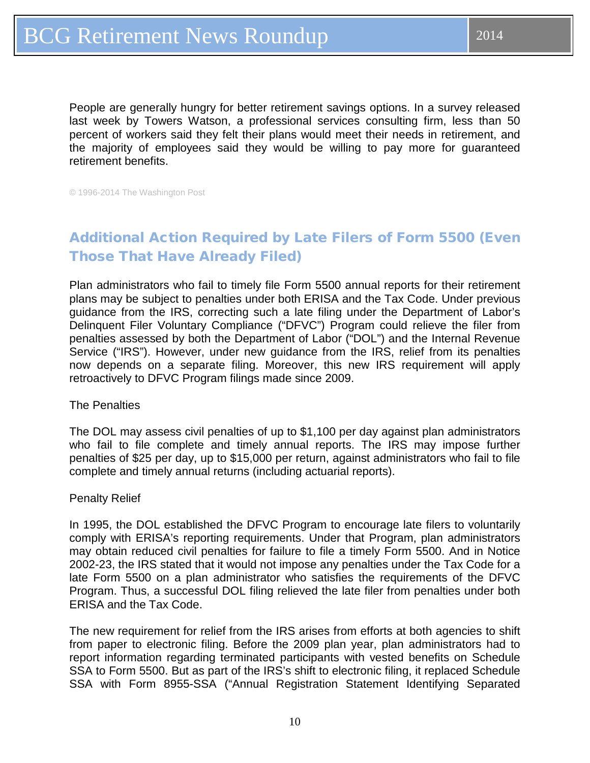<span id="page-9-0"></span>People are generally hungry for better retirement savings options. In a survey released last week by Towers Watson, a professional services consulting firm, less than 50 percent of workers said they felt their plans would meet their needs in retirement, and the majority of employees said they would be willing to pay more for guaranteed retirement benefits.

© 1996-2014 The Washington Post

# Additional Action Required by Late Filers of Form 5500 (Even Those That Have Already Filed)

Plan administrators who fail to timely file Form 5500 annual reports for their retirement plans may be subject to penalties under both ERISA and the Tax Code. Under previous guidance from the IRS, correcting such a late filing under the Department of Labor's Delinquent Filer Voluntary Compliance ("DFVC") Program could relieve the filer from penalties assessed by both the Department of Labor ("DOL") and the Internal Revenue Service ("IRS"). However, under new guidance from the IRS, relief from its penalties now depends on a separate filing. Moreover, this new IRS requirement will apply retroactively to DFVC Program filings made since 2009.

#### The Penalties

The DOL may assess civil penalties of up to \$1,100 per day against plan administrators who fail to file complete and timely annual reports. The IRS may impose further penalties of \$25 per day, up to \$15,000 per return, against administrators who fail to file complete and timely annual returns (including actuarial reports).

#### Penalty Relief

In 1995, the DOL established the DFVC Program to encourage late filers to voluntarily comply with ERISA's reporting requirements. Under that Program, plan administrators may obtain reduced civil penalties for failure to file a timely Form 5500. And in Notice 2002-23, the IRS stated that it would not impose any penalties under the Tax Code for a late Form 5500 on a plan administrator who satisfies the requirements of the DFVC Program. Thus, a successful DOL filing relieved the late filer from penalties under both ERISA and the Tax Code.

The new requirement for relief from the IRS arises from efforts at both agencies to shift from paper to electronic filing. Before the 2009 plan year, plan administrators had to report information regarding terminated participants with vested benefits on Schedule SSA to Form 5500. But as part of the IRS's shift to electronic filing, it replaced Schedule SSA with Form 8955-SSA ("Annual Registration Statement Identifying Separated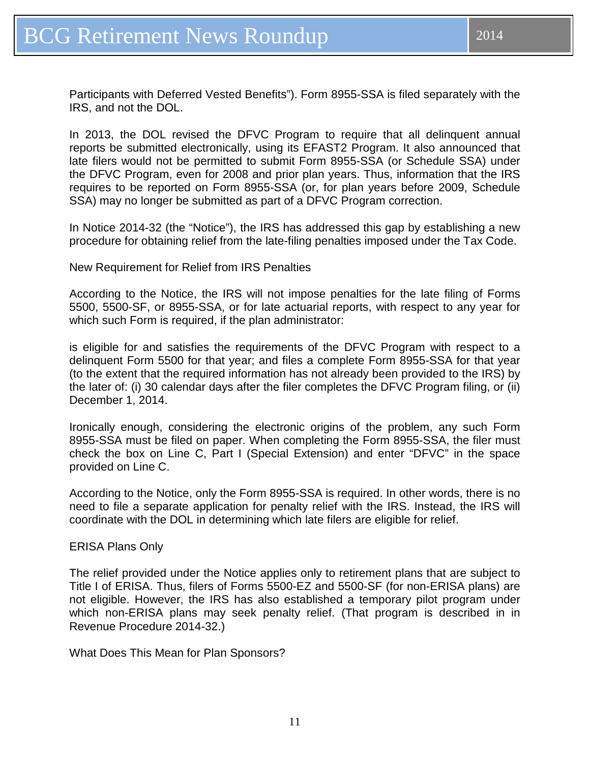In 2013, the DOL revised the DFVC Program to require that all delinquent annual reports be submitted electronically, using its EFAST2 Program. It also announced that late filers would not be permitted to submit Form 8955-SSA (or Schedule SSA) under the DFVC Program, even for 2008 and prior plan years. Thus, information that the IRS requires to be reported on Form 8955-SSA (or, for plan years before 2009, Schedule SSA) may no longer be submitted as part of a DFVC Program correction.

In Notice 2014-32 (the "Notice"), the IRS has addressed this gap by establishing a new procedure for obtaining relief from the late-filing penalties imposed under the Tax Code.

New Requirement for Relief from IRS Penalties

According to the Notice, the IRS will not impose penalties for the late filing of Forms 5500, 5500-SF, or 8955-SSA, or for late actuarial reports, with respect to any year for which such Form is required, if the plan administrator:

is eligible for and satisfies the requirements of the DFVC Program with respect to a delinquent Form 5500 for that year; and files a complete Form 8955-SSA for that year (to the extent that the required information has not already been provided to the IRS) by the later of: (i) 30 calendar days after the filer completes the DFVC Program filing, or (ii) December 1, 2014.

Ironically enough, considering the electronic origins of the problem, any such Form 8955-SSA must be filed on paper. When completing the Form 8955-SSA, the filer must check the box on Line C, Part I (Special Extension) and enter "DFVC" in the space provided on Line C.

According to the Notice, only the Form 8955-SSA is required. In other words, there is no need to file a separate application for penalty relief with the IRS. Instead, the IRS will coordinate with the DOL in determining which late filers are eligible for relief.

#### ERISA Plans Only

The relief provided under the Notice applies only to retirement plans that are subject to Title I of ERISA. Thus, filers of Forms 5500-EZ and 5500-SF (for non-ERISA plans) are not eligible. However, the IRS has also established a temporary pilot program under which non-ERISA plans may seek penalty relief. (That program is described in in Revenue Procedure 2014-32.)

What Does This Mean for Plan Sponsors?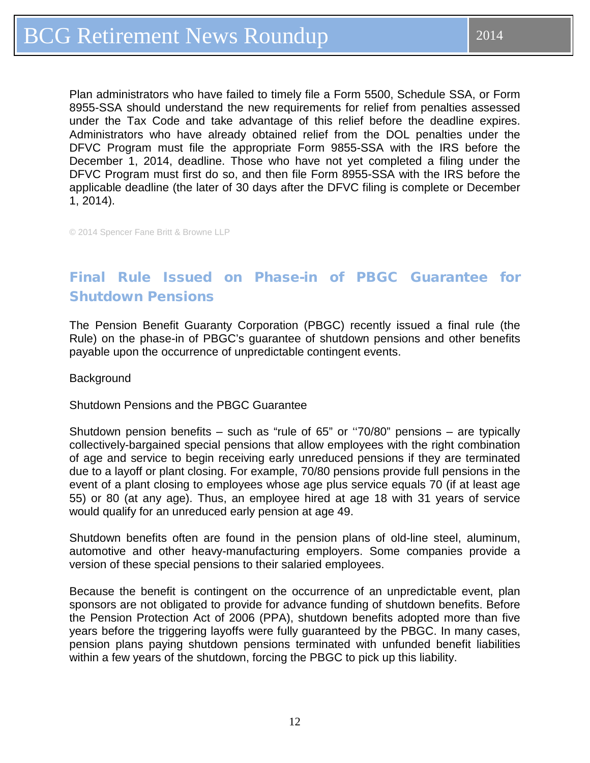<span id="page-11-0"></span>Plan administrators who have failed to timely file a Form 5500, Schedule SSA, or Form 8955-SSA should understand the new requirements for relief from penalties assessed under the Tax Code and take advantage of this relief before the deadline expires. Administrators who have already obtained relief from the DOL penalties under the DFVC Program must file the appropriate Form 9855-SSA with the IRS before the December 1, 2014, deadline. Those who have not yet completed a filing under the DFVC Program must first do so, and then file Form 8955-SSA with the IRS before the applicable deadline (the later of 30 days after the DFVC filing is complete or December 1, 2014).

© 2014 Spencer Fane Britt & Browne LLP

## Final Rule Issued on Phase-in of PBGC Guarantee for Shutdown Pensions

The Pension Benefit Guaranty Corporation (PBGC) recently issued a final rule (the Rule) on the phase-in of PBGC's guarantee of shutdown pensions and other benefits payable upon the occurrence of unpredictable contingent events.

**Background** 

Shutdown Pensions and the PBGC Guarantee

Shutdown pension benefits – such as "rule of 65" or ''70/80" pensions – are typically collectively-bargained special pensions that allow employees with the right combination of age and service to begin receiving early unreduced pensions if they are terminated due to a layoff or plant closing. For example, 70/80 pensions provide full pensions in the event of a plant closing to employees whose age plus service equals 70 (if at least age 55) or 80 (at any age). Thus, an employee hired at age 18 with 31 years of service would qualify for an unreduced early pension at age 49.

Shutdown benefits often are found in the pension plans of old-line steel, aluminum, automotive and other heavy-manufacturing employers. Some companies provide a version of these special pensions to their salaried employees.

Because the benefit is contingent on the occurrence of an unpredictable event, plan sponsors are not obligated to provide for advance funding of shutdown benefits. Before the Pension Protection Act of 2006 (PPA), shutdown benefits adopted more than five years before the triggering layoffs were fully guaranteed by the PBGC. In many cases, pension plans paying shutdown pensions terminated with unfunded benefit liabilities within a few years of the shutdown, forcing the PBGC to pick up this liability.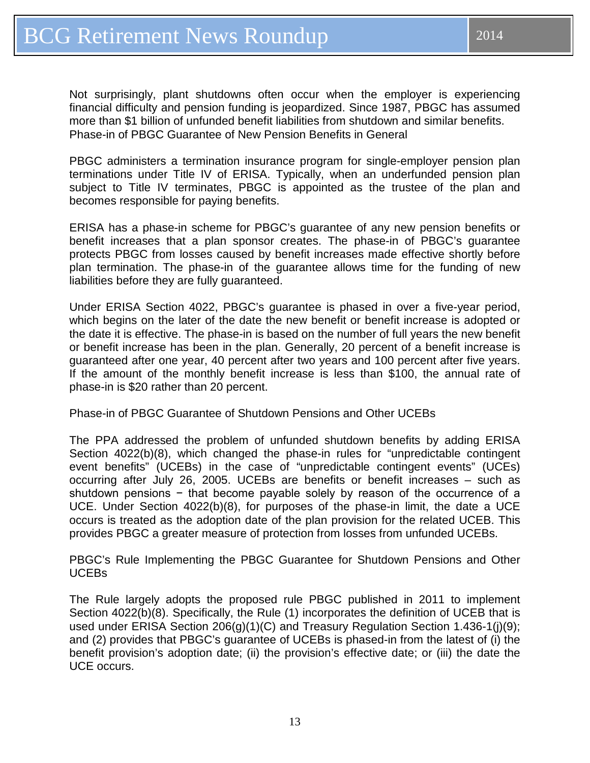Not surprisingly, plant shutdowns often occur when the employer is experiencing financial difficulty and pension funding is jeopardized. Since 1987, PBGC has assumed more than \$1 billion of unfunded benefit liabilities from shutdown and similar benefits. Phase-in of PBGC Guarantee of New Pension Benefits in General

PBGC administers a termination insurance program for single-employer pension plan terminations under Title IV of ERISA. Typically, when an underfunded pension plan subject to Title IV terminates, PBGC is appointed as the trustee of the plan and becomes responsible for paying benefits.

ERISA has a phase-in scheme for PBGC's guarantee of any new pension benefits or benefit increases that a plan sponsor creates. The phase-in of PBGC's guarantee protects PBGC from losses caused by benefit increases made effective shortly before plan termination. The phase-in of the guarantee allows time for the funding of new liabilities before they are fully guaranteed.

Under ERISA Section 4022, PBGC's guarantee is phased in over a five-year period, which begins on the later of the date the new benefit or benefit increase is adopted or the date it is effective. The phase-in is based on the number of full years the new benefit or benefit increase has been in the plan. Generally, 20 percent of a benefit increase is guaranteed after one year, 40 percent after two years and 100 percent after five years. If the amount of the monthly benefit increase is less than \$100, the annual rate of phase-in is \$20 rather than 20 percent.

Phase-in of PBGC Guarantee of Shutdown Pensions and Other UCEBs

The PPA addressed the problem of unfunded shutdown benefits by adding ERISA Section 4022(b)(8), which changed the phase-in rules for "unpredictable contingent event benefits" (UCEBs) in the case of "unpredictable contingent events" (UCEs) occurring after July 26, 2005. UCEBs are benefits or benefit increases – such as shutdown pensions − that become payable solely by reason of the occurrence of a UCE. Under Section 4022(b)(8), for purposes of the phase-in limit, the date a UCE occurs is treated as the adoption date of the plan provision for the related UCEB. This provides PBGC a greater measure of protection from losses from unfunded UCEBs.

PBGC's Rule Implementing the PBGC Guarantee for Shutdown Pensions and Other UCEBs

The Rule largely adopts the proposed rule PBGC published in 2011 to implement Section 4022(b)(8). Specifically, the Rule (1) incorporates the definition of UCEB that is used under ERISA Section 206(g)(1)(C) and Treasury Regulation Section 1.436-1(j)(9); and (2) provides that PBGC's guarantee of UCEBs is phased-in from the latest of (i) the benefit provision's adoption date; (ii) the provision's effective date; or (iii) the date the UCE occurs.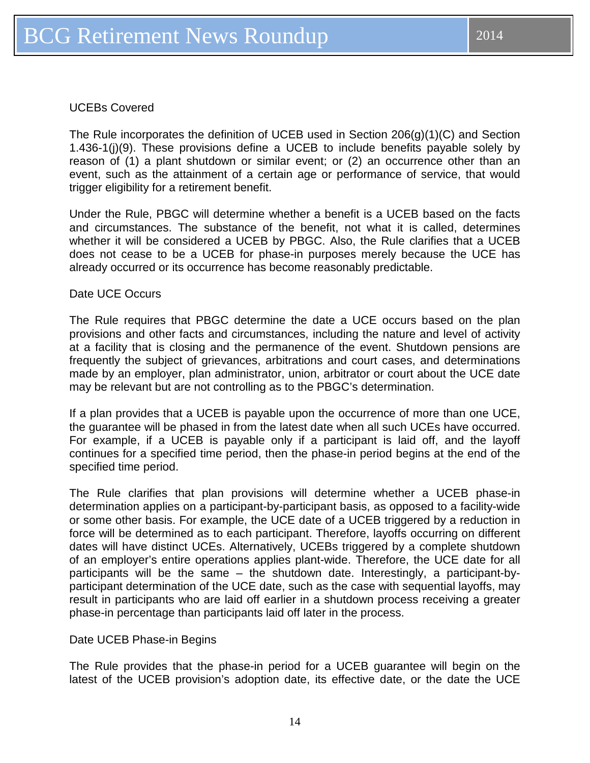#### UCEBs Covered

The Rule incorporates the definition of UCEB used in Section 206(g)(1)(C) and Section 1.436-1(j)(9). These provisions define a UCEB to include benefits payable solely by reason of (1) a plant shutdown or similar event; or (2) an occurrence other than an event, such as the attainment of a certain age or performance of service, that would trigger eligibility for a retirement benefit.

Under the Rule, PBGC will determine whether a benefit is a UCEB based on the facts and circumstances. The substance of the benefit, not what it is called, determines whether it will be considered a UCEB by PBGC. Also, the Rule clarifies that a UCEB does not cease to be a UCEB for phase-in purposes merely because the UCE has already occurred or its occurrence has become reasonably predictable.

#### Date UCE Occurs

The Rule requires that PBGC determine the date a UCE occurs based on the plan provisions and other facts and circumstances, including the nature and level of activity at a facility that is closing and the permanence of the event. Shutdown pensions are frequently the subject of grievances, arbitrations and court cases, and determinations made by an employer, plan administrator, union, arbitrator or court about the UCE date may be relevant but are not controlling as to the PBGC's determination.

If a plan provides that a UCEB is payable upon the occurrence of more than one UCE, the guarantee will be phased in from the latest date when all such UCEs have occurred. For example, if a UCEB is payable only if a participant is laid off, and the layoff continues for a specified time period, then the phase-in period begins at the end of the specified time period.

The Rule clarifies that plan provisions will determine whether a UCEB phase-in determination applies on a participant-by-participant basis, as opposed to a facility-wide or some other basis. For example, the UCE date of a UCEB triggered by a reduction in force will be determined as to each participant. Therefore, layoffs occurring on different dates will have distinct UCEs. Alternatively, UCEBs triggered by a complete shutdown of an employer's entire operations applies plant-wide. Therefore, the UCE date for all participants will be the same – the shutdown date. Interestingly, a participant-byparticipant determination of the UCE date, such as the case with sequential layoffs, may result in participants who are laid off earlier in a shutdown process receiving a greater phase-in percentage than participants laid off later in the process.

#### Date UCEB Phase-in Begins

The Rule provides that the phase-in period for a UCEB guarantee will begin on the latest of the UCEB provision's adoption date, its effective date, or the date the UCE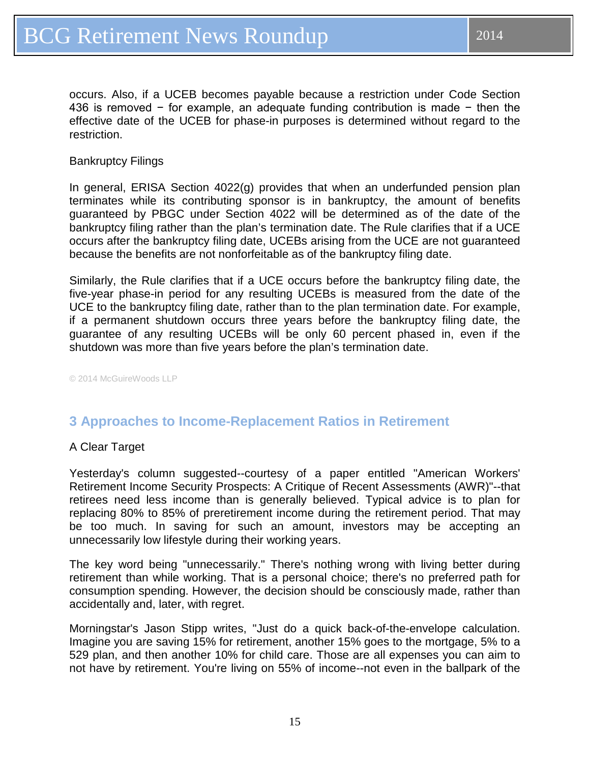<span id="page-14-0"></span>occurs. Also, if a UCEB becomes payable because a restriction under Code Section 436 is removed − for example, an adequate funding contribution is made − then the effective date of the UCEB for phase-in purposes is determined without regard to the restriction.

Bankruptcy Filings

In general, ERISA Section 4022(g) provides that when an underfunded pension plan terminates while its contributing sponsor is in bankruptcy, the amount of benefits guaranteed by PBGC under Section 4022 will be determined as of the date of the bankruptcy filing rather than the plan's termination date. The Rule clarifies that if a UCE occurs after the bankruptcy filing date, UCEBs arising from the UCE are not guaranteed because the benefits are not nonforfeitable as of the bankruptcy filing date.

Similarly, the Rule clarifies that if a UCE occurs before the bankruptcy filing date, the five-year phase-in period for any resulting UCEBs is measured from the date of the UCE to the bankruptcy filing date, rather than to the plan termination date. For example, if a permanent shutdown occurs three years before the bankruptcy filing date, the guarantee of any resulting UCEBs will be only 60 percent phased in, even if the shutdown was more than five years before the plan's termination date.

© 2014 McGuireWoods LLP

### **3 Approaches to Income-Replacement Ratios in Retirement**

#### A Clear Target

Yesterday's column suggested--courtesy of a paper entitled "American Workers' Retirement Income Security Prospects: A Critique of Recent Assessments (AWR)"--that retirees need less income than is generally believed. Typical advice is to plan for replacing 80% to 85% of preretirement income during the retirement period. That may be too much. In saving for such an amount, investors may be accepting an unnecessarily low lifestyle during their working years.

The key word being "unnecessarily." There's nothing wrong with living better during retirement than while working. That is a personal choice; there's no preferred path for consumption spending. However, the decision should be consciously made, rather than accidentally and, later, with regret.

Morningstar's Jason Stipp writes, "Just do a quick back-of-the-envelope calculation. Imagine you are saving 15% for retirement, another 15% goes to the mortgage, 5% to a 529 plan, and then another 10% for child care. Those are all expenses you can aim to not have by retirement. You're living on 55% of income--not even in the ballpark of the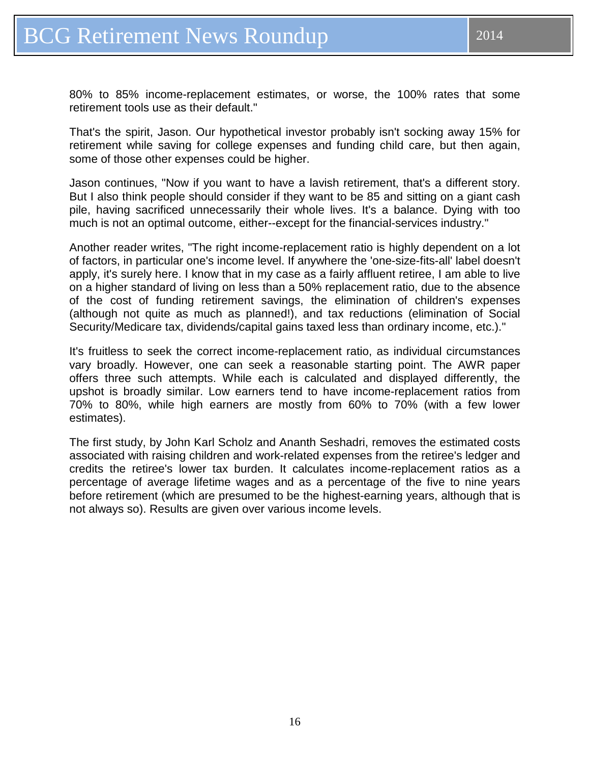That's the spirit, Jason. Our hypothetical investor probably isn't socking away 15% for retirement while saving for college expenses and funding child care, but then again, some of those other expenses could be higher.

Jason continues, "Now if you want to have a lavish retirement, that's a different story. But I also think people should consider if they want to be 85 and sitting on a giant cash pile, having sacrificed unnecessarily their whole lives. It's a balance. Dying with too much is not an optimal outcome, either--except for the financial-services industry."

Another reader writes, "The right income-replacement ratio is highly dependent on a lot of factors, in particular one's income level. If anywhere the 'one-size-fits-all' label doesn't apply, it's surely here. I know that in my case as a fairly affluent retiree, I am able to live on a higher standard of living on less than a 50% replacement ratio, due to the absence of the cost of funding retirement savings, the elimination of children's expenses (although not quite as much as planned!), and tax reductions (elimination of Social Security/Medicare tax, dividends/capital gains taxed less than ordinary income, etc.)."

It's fruitless to seek the correct income-replacement ratio, as individual circumstances vary broadly. However, one can seek a reasonable starting point. The AWR paper offers three such attempts. While each is calculated and displayed differently, the upshot is broadly similar. Low earners tend to have income-replacement ratios from 70% to 80%, while high earners are mostly from 60% to 70% (with a few lower estimates).

The first study, by John Karl Scholz and Ananth Seshadri, removes the estimated costs associated with raising children and work-related expenses from the retiree's ledger and credits the retiree's lower tax burden. It calculates income-replacement ratios as a percentage of average lifetime wages and as a percentage of the five to nine years before retirement (which are presumed to be the highest-earning years, although that is not always so). Results are given over various income levels.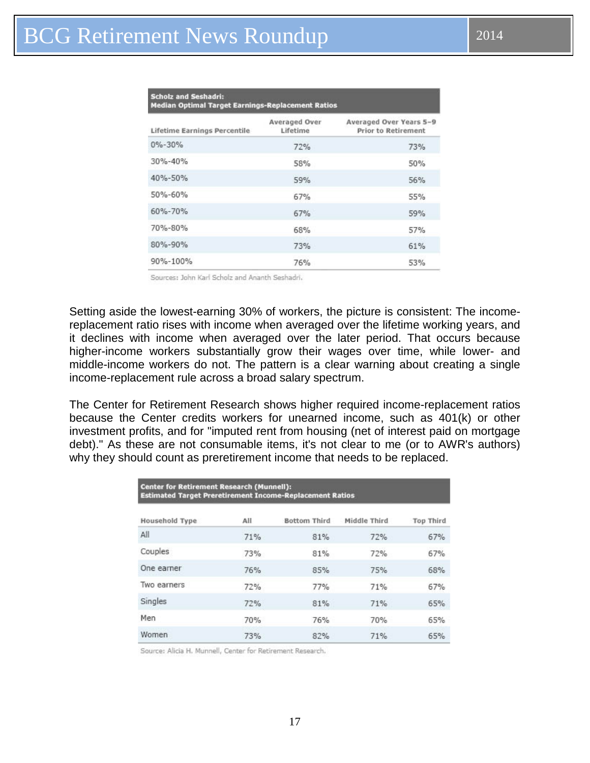| <b>Scholz and Seshadri:</b><br><b>Median Optimal Target Earnings-Replacement Ratios</b> |                           |                                                |  |  |
|-----------------------------------------------------------------------------------------|---------------------------|------------------------------------------------|--|--|
| Lifetime Earnings Percentile                                                            | Averaged Over<br>Lifetime | Averaged Over Years 5-9<br>Prior to Retirement |  |  |
| $0\% - 30\%$                                                                            | 72%                       | 73%                                            |  |  |
| 30%-40%                                                                                 | 58%                       | 50%                                            |  |  |
| 40%-50%                                                                                 | 59%                       | 56%                                            |  |  |
| $50\% - 60\%$                                                                           | 67%                       | 55%                                            |  |  |
| $60\% - 70\%$                                                                           | 67%                       | 59%                                            |  |  |
| 70%-80%                                                                                 | 68%                       | 57%                                            |  |  |
| 80%-90%                                                                                 | 73%                       | 61%                                            |  |  |
| 90%-100%                                                                                | 76%                       | 53%                                            |  |  |

Sources: John Karl Scholz and Ananth Seshadri.

Setting aside the lowest-earning 30% of workers, the picture is consistent: The incomereplacement ratio rises with income when averaged over the lifetime working years, and it declines with income when averaged over the later period. That occurs because higher-income workers substantially grow their wages over time, while lower- and middle-income workers do not. The pattern is a clear warning about creating a single income-replacement rule across a broad salary spectrum.

The Center for Retirement Research shows higher required income-replacement ratios because the Center credits workers for unearned income, such as 401(k) or other investment profits, and for "imputed rent from housing (net of interest paid on mortgage debt)." As these are not consumable items, it's not clear to me (or to AWR's authors) why they should count as preretirement income that needs to be replaced.

| <b>Center for Retirement Research (Munnell):</b><br><b>Estimated Target Preretirement Income-Replacement Ratios</b> |     |              |              |                  |
|---------------------------------------------------------------------------------------------------------------------|-----|--------------|--------------|------------------|
| Household Type                                                                                                      | AII | Bottom Third | Middle Third | <b>Top Third</b> |
| All                                                                                                                 | 71% | 81%          | 72%          | 67%              |
| Couples                                                                                                             | 73% | 81%          | 72%          | 67%              |
| One earner                                                                                                          | 76% | 85%          | 75%          | 68%              |
| Two earners                                                                                                         | 72% | 77%          | 71%          | 67%              |
| Singles                                                                                                             | 72% | 81%          | 71%          | 65%              |
| Men                                                                                                                 | 70% | 76%          | 70%          | 65%              |
| Women                                                                                                               | 73% | 82%          | 71%          | 65%              |

Source: Alicia H. Munnell, Center for Retirement Research.